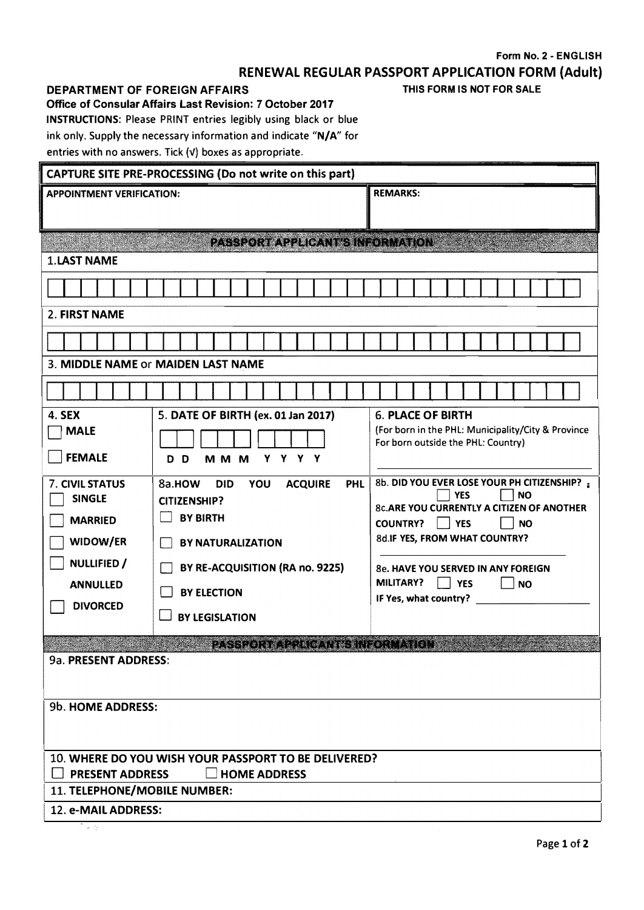## DEPARTMENT OF FOREIGN AFFAIRS

|                                                                        |                                                                                                                                   | Form No. 2 - ENGLISH                                                                     |  |
|------------------------------------------------------------------------|-----------------------------------------------------------------------------------------------------------------------------------|------------------------------------------------------------------------------------------|--|
| DEPARTMENT OF FOREIGN AFFAIRS                                          |                                                                                                                                   | RENEWAL REGULAR PASSPORT APPLICATION FORM (Adult)<br>THIS FORM IS NOT FOR SALE           |  |
|                                                                        | Office of Consular Affairs Last Revision: 7 October 2017<br><b>INSTRUCTIONS:</b> Please PRINT entries legibly using black or blue |                                                                                          |  |
|                                                                        | ink only. Supply the necessary information and indicate "N/A" for<br>entries with no answers. Tick (v) boxes as appropriate.      |                                                                                          |  |
|                                                                        | CAPTURE SITE PRE-PROCESSING (Do not write on this part)                                                                           |                                                                                          |  |
| <b>APPOINTMENT VERIFICATION:</b>                                       |                                                                                                                                   | <b>REMARKS:</b>                                                                          |  |
|                                                                        | PASSPORT APPLICANT'S INFORMATION                                                                                                  |                                                                                          |  |
| <b>1.LAST NAME</b>                                                     |                                                                                                                                   |                                                                                          |  |
|                                                                        |                                                                                                                                   |                                                                                          |  |
| 2. FIRST NAME                                                          |                                                                                                                                   |                                                                                          |  |
|                                                                        |                                                                                                                                   |                                                                                          |  |
| 3. MIDDLE NAME or MAIDEN LAST NAME                                     |                                                                                                                                   |                                                                                          |  |
|                                                                        |                                                                                                                                   |                                                                                          |  |
| <b>4. SEX</b>                                                          | 5. DATE OF BIRTH (ex. 01 Jan 2017)                                                                                                | <b>6. PLACE OF BIRTH</b>                                                                 |  |
| <b>MALE</b>                                                            |                                                                                                                                   | (For born in the PHL: Municipality/City & Province<br>For born outside the PHL: Country) |  |
| <b>FEMALE</b>                                                          | M M M<br>Y Y Y Y<br>D D                                                                                                           |                                                                                          |  |
| 7. CIVIL STATUS<br><b>SINGLE</b>                                       | 8a.HOW DID<br>YOU ACQUIRE PHL<br><b>CITIZENSHIP?</b>                                                                              | 8b. DID YOU EVER LOSE YOUR PH CITIZENSHIP?<br><b>YES</b><br>  NO                         |  |
| <b>MARRIED</b>                                                         | <b>BY BIRTH</b><br>$\mathcal{L}_{\mathcal{A}}$                                                                                    | 8c.ARE YOU CURRENTLY A CITIZEN OF ANOTHER<br>COUNTRY? VES<br><b>NO</b>                   |  |
| WIDOW/ER<br>NULLIFIED /                                                | <b>BY NATURALIZATION</b><br>$\vert \ \ \vert$                                                                                     | 8d.IF YES, FROM WHAT COUNTRY?                                                            |  |
| <b>ANNULLED</b>                                                        | BY RE-ACQUISITION (RA no. 9225)<br>$\Box$<br>$\sim$                                                                               | 8e. HAVE YOU SERVED IN ANY FOREIGN<br>MILITARY?<br>$\blacksquare$ YES<br><b>NO</b>       |  |
| <b>DIVORCED</b>                                                        | <b>BY ELECTION</b><br><b>BY LEGISLATION</b><br>凵                                                                                  | IF Yes, what country?                                                                    |  |
|                                                                        | PASSPORT APPLICANT'S INFORMATION                                                                                                  |                                                                                          |  |
| 9a. PRESENT ADDRESS:                                                   |                                                                                                                                   |                                                                                          |  |
| 9b. HOME ADDRESS:                                                      |                                                                                                                                   |                                                                                          |  |
|                                                                        |                                                                                                                                   |                                                                                          |  |
|                                                                        | 10. WHERE DO YOU WISH YOUR PASSPORT TO BE DELIVERED?                                                                              |                                                                                          |  |
| <b>PRESENT ADDRESS</b><br>$\mathbf{I}$<br>11. TELEPHONE/MOBILE NUMBER: | <b>HOME ADDRESS</b>                                                                                                               |                                                                                          |  |